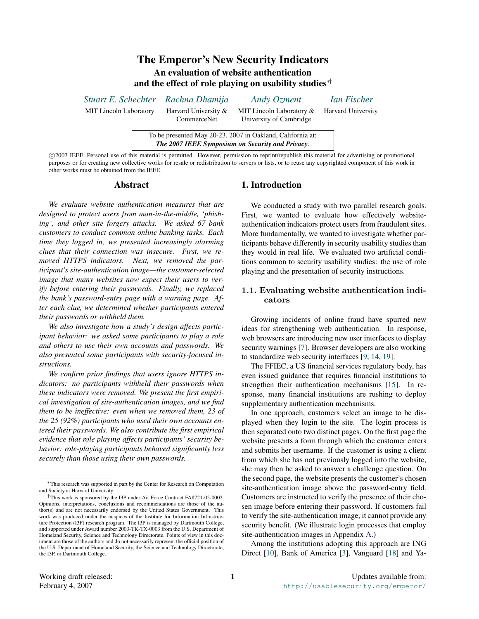# The Emperor's New Security Indicators An evaluation of website authentication and the effect of role playing on usability studies∗†

*[Stuart E. Schechter](http://www.eecs.harvard.edu/~stuart) [Rachna Dhamija](http://people.deas.harvard.edu/~rachna/) [Andy Ozment](http://www.cl.cam.ac.uk/~jo262/) Ian Fischer*

MIT Lincoln Laboratory Harvard University & MIT Lincoln Laboratory & Harvard University

CommerceNet University of Cambridge

To be presented May 20-23, 2007 in Oakland, California at: *The 2007 IEEE Symposium on Security and Privacy*.

 c 2007 IEEE. Personal use of this material is permitted. However, permission to reprint/republish this material for advertising or promotional purposes or for creating new collective works for resale or redistribution to servers or lists, or to reuse any copyrighted component of this work in other works must be obtained from the IEEE.

## Abstract

*We evaluate website authentication measures that are designed to protect users from man-in-the-middle, 'phishing', and other site forgery attacks. We asked 67 bank customers to conduct common online banking tasks. Each time they logged in, we presented increasingly alarming clues that their connection was insecure. First, we removed HTTPS indicators. Next, we removed the participant's site-authentication image—the customer-selected image that many websites now expect their users to verify before entering their passwords. Finally, we replaced the bank's password-entry page with a warning page. After each clue, we determined whether participants entered their passwords or withheld them.*

*We also investigate how a study's design affects participant behavior: we asked some participants to play a role and others to use their own accounts and passwords. We also presented some participants with security-focused instructions.*

*We confirm prior findings that users ignore HTTPS indicators: no participants withheld their passwords when these indicators were removed. We present the first empirical investigation of site-authentication images, and we find them to be ineffective: even when we removed them, 23 of the 25 (92%) participants who used their own accounts entered their passwords. We also contribute the first empirical evidence that role playing affects participants' security behavior: role-playing participants behaved significantly less securely than those using their own passwords.*

# 1. Introduction

We conducted a study with two parallel research goals. First, we wanted to evaluate how effectively websiteauthentication indicators protect users from fraudulent sites. More fundamentally, we wanted to investigate whether participants behave differently in security usability studies than they would in real life. We evaluated two artificial conditions common to security usability studies: the use of role playing and the presentation of security instructions.

## 1.1. Evaluating website authentication indicators

Growing incidents of online fraud have spurred new ideas for strengthening web authentication. In response, web browsers are introducing new user interfaces to display security warnings [\[7\]](#page-12-0). Browser developers are also working to standardize web security interfaces [\[9,](#page-12-1) [14,](#page-12-2) [19\]](#page-12-3).

The FFIEC, a US financial services regulatory body, has even issued guidance that requires financial institutions to strengthen their authentication mechanisms [\[15\]](#page-12-4). In response, many financial institutions are rushing to deploy supplementary authentication mechanisms.

In one approach, customers select an image to be displayed when they login to the site. The login process is then separated onto two distinct pages. On the first page the website presents a form through which the customer enters and submits her username. If the customer is using a client from which she has not previously logged into the website, she may then be asked to answer a challenge question. On the second page, the website presents the customer's chosen site-authentication image above the password-entry field. Customers are instructed to verify the presence of their chosen image before entering their password. If customers fail to verify the site-authentication image, it cannot provide any security benefit. (We illustrate login processes that employ site-authentication images in Appendix [A.](#page-13-0))

Among the institutions adopting this approach are ING Direct [\[10\]](#page-12-5), Bank of America [\[3\]](#page-12-6), Vanguard [\[18\]](#page-12-7) and Ya-

<sup>∗</sup>This research was supported in part by the Center for Research on Computation and Society at Harvard University.

<sup>†</sup>This work is sponsored by the I3P under Air Force Contract FA8721-05-0002. Opinions, interpretations, conclusions and recommendations are those of the author(s) and are not necessarily endorsed by the United States Government. This work was produced under the auspices of the Institute for Information Infrastructure Protection (I3P) research program. The I3P is managed by Dartmouth College, and supported under Award number 2003-TK-TX-0003 from the U.S. Department of Homeland Security, Science and Technology Directorate. Points of view in this document are those of the authors and do not necessarily represent the official position of the U.S. Department of Homeland Security, the Science and Technology Directorate, the I3P, or Dartmouth College.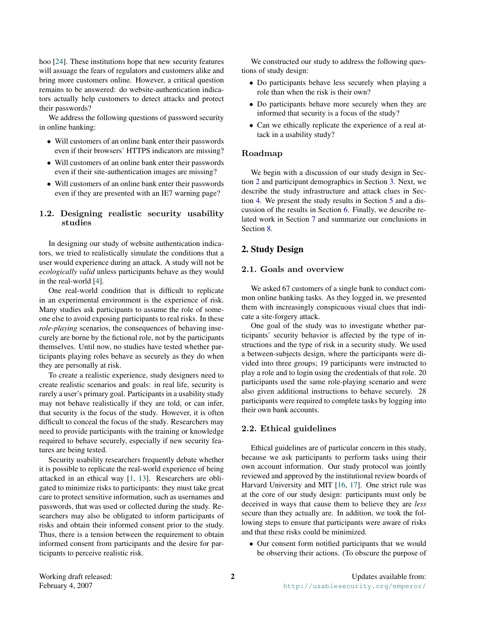hoo [\[24\]](#page-12-8). These institutions hope that new security features will assuage the fears of regulators and customers alike and bring more customers online. However, a critical question remains to be answered: do website-authentication indicators actually help customers to detect attacks and protect their passwords?

We address the following questions of password security in online banking:

- Will customers of an online bank enter their passwords even if their browsers' HTTPS indicators are missing?
- Will customers of an online bank enter their passwords even if their site-authentication images are missing?
- Will customers of an online bank enter their passwords even if they are presented with an IE7 warning page?

## 1.2. Designing realistic security usability studies

In designing our study of website authentication indicators, we tried to realistically simulate the conditions that a user would experience during an attack. A study will not be *ecologically valid* unless participants behave as they would in the real-world [\[4\]](#page-12-9).

One real-world condition that is difficult to replicate in an experimental environment is the experience of risk. Many studies ask participants to assume the role of someone else to avoid exposing participants to real risks. In these *role-playing* scenarios, the consequences of behaving insecurely are borne by the fictional role, not by the participants themselves. Until now, no studies have tested whether participants playing roles behave as securely as they do when they are personally at risk.

To create a realistic experience, study designers need to create realistic scenarios and goals: in real life, security is rarely a user's primary goal. Participants in a usability study may not behave realistically if they are told, or can infer, that security is the focus of the study. However, it is often difficult to conceal the focus of the study. Researchers may need to provide participants with the training or knowledge required to behave securely, especially if new security features are being tested.

Security usability researchers frequently debate whether it is possible to replicate the real-world experience of being attacked in an ethical way [\[1,](#page-12-10) [13\]](#page-12-11). Researchers are obligated to minimize risks to participants: they must take great care to protect sensitive information, such as usernames and passwords, that was used or collected during the study. Researchers may also be obligated to inform participants of risks and obtain their informed consent prior to the study. Thus, there is a tension between the requirement to obtain informed consent from participants and the desire for participants to perceive realistic risk.

We constructed our study to address the following questions of study design:

- Do participants behave less securely when playing a role than when the risk is their own?
- Do participants behave more securely when they are informed that security is a focus of the study?
- Can we ethically replicate the experience of a real attack in a usability study?

#### Roadmap

We begin with a discussion of our study design in Section [2](#page-1-0) and participant demographics in Section [3.](#page-4-0) Next, we describe the study infrastructure and attack clues in Section [4.](#page-4-1) We present the study results in Section [5](#page-5-0) and a discussion of the results in Section [6.](#page-8-0) Finally, we describe related work in Section [7](#page-10-0) and summarize our conclusions in Section [8.](#page-11-0)

## <span id="page-1-0"></span>2. Study Design

### 2.1. Goals and overview

We asked 67 customers of a single bank to conduct common online banking tasks. As they logged in, we presented them with increasingly conspicuous visual clues that indicate a site-forgery attack.

One goal of the study was to investigate whether participants' security behavior is affected by the type of instructions and the type of risk in a security study. We used a between-subjects design, where the participants were divided into three groups; 19 participants were instructed to play a role and to login using the credentials of that role. 20 participants used the same role-playing scenario and were also given additional instructions to behave securely. 28 participants were required to complete tasks by logging into their own bank accounts.

#### 2.2. Ethical guidelines

Ethical guidelines are of particular concern in this study, because we ask participants to perform tasks using their own account information. Our study protocol was jointly reviewed and approved by the institutional review boards of Harvard University and MIT [\[16,](#page-12-12) [17\]](#page-12-13). One strict rule was at the core of our study design: participants must only be deceived in ways that cause them to believe they are *less* secure than they actually are. In addition, we took the following steps to ensure that participants were aware of risks and that these risks could be minimized.

• Our consent form notified participants that we would be observing their actions. (To obscure the purpose of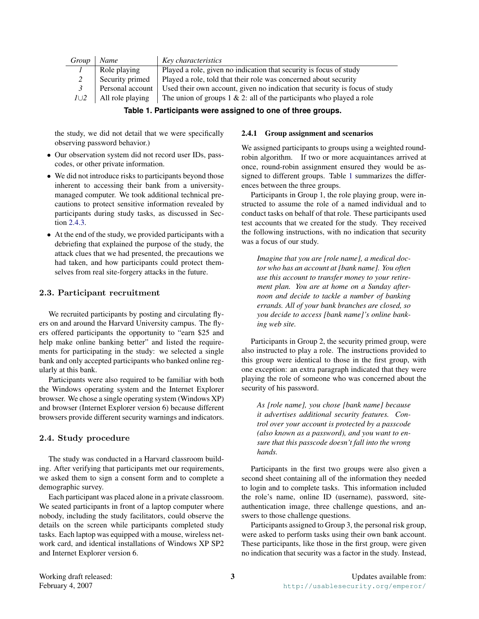| Name<br>Group                 | Key characteristics                                                         |
|-------------------------------|-----------------------------------------------------------------------------|
| Role playing                  | Played a role, given no indication that security is focus of study          |
| Security primed               | Played a role, told that their role was concerned about security            |
| Personal account<br>3         | Used their own account, given no indication that security is focus of study |
| All role playing<br>$I\cup 2$ | The union of groups $1 \& 2$ : all of the participants who played a role    |

<span id="page-2-0"></span>**Table 1. Participants were assigned to one of three groups.**

the study, we did not detail that we were specifically observing password behavior.)

- Our observation system did not record user IDs, passcodes, or other private information.
- We did not introduce risks to participants beyond those inherent to accessing their bank from a universitymanaged computer. We took additional technical precautions to protect sensitive information revealed by participants during study tasks, as discussed in Section [2.4.3.](#page-3-0)
- At the end of the study, we provided participants with a debriefing that explained the purpose of the study, the attack clues that we had presented, the precautions we had taken, and how participants could protect themselves from real site-forgery attacks in the future.

## 2.3. Participant recruitment

We recruited participants by posting and circulating flyers on and around the Harvard University campus. The flyers offered participants the opportunity to "earn \$25 and help make online banking better" and listed the requirements for participating in the study: we selected a single bank and only accepted participants who banked online regularly at this bank.

Participants were also required to be familiar with both the Windows operating system and the Internet Explorer browser. We chose a single operating system (Windows XP) and browser (Internet Explorer version 6) because different browsers provide different security warnings and indicators.

## 2.4. Study procedure

The study was conducted in a Harvard classroom building. After verifying that participants met our requirements, we asked them to sign a consent form and to complete a demographic survey.

Each participant was placed alone in a private classroom. We seated participants in front of a laptop computer where nobody, including the study facilitators, could observe the details on the screen while participants completed study tasks. Each laptop was equipped with a mouse, wireless network card, and identical installations of Windows XP SP2 and Internet Explorer version 6.

### 2.4.1 Group assignment and scenarios

We assigned participants to groups using a weighted roundrobin algorithm. If two or more acquaintances arrived at once, round-robin assignment ensured they would be assigned to different groups. Table [1](#page-2-0) summarizes the differences between the three groups.

Participants in Group 1, the role playing group, were instructed to assume the role of a named individual and to conduct tasks on behalf of that role. These participants used test accounts that we created for the study. They received the following instructions, with no indication that security was a focus of our study.

*Imagine that you are [role name], a medical doctor who has an account at [bank name]. You often use this account to transfer money to your retirement plan. You are at home on a Sunday afternoon and decide to tackle a number of banking errands. All of your bank branches are closed, so you decide to access [bank name]'s online banking web site.*

Participants in Group 2, the security primed group, were also instructed to play a role. The instructions provided to this group were identical to those in the first group, with one exception: an extra paragraph indicated that they were playing the role of someone who was concerned about the security of his password.

*As [role name], you chose [bank name] because it advertises additional security features. Control over your account is protected by a passcode (also known as a password), and you want to ensure that this passcode doesn't fall into the wrong hands.*

Participants in the first two groups were also given a second sheet containing all of the information they needed to login and to complete tasks. This information included the role's name, online ID (username), password, siteauthentication image, three challenge questions, and answers to those challenge questions.

Participants assigned to Group 3, the personal risk group, were asked to perform tasks using their own bank account. These participants, like those in the first group, were given no indication that security was a factor in the study. Instead,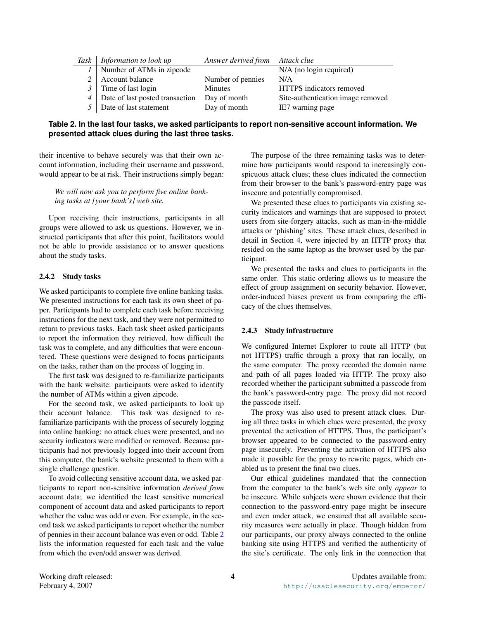| Task   Information to look up     | Answer derived from Attack clue |                                   |
|-----------------------------------|---------------------------------|-----------------------------------|
| Number of ATMs in zipcode         |                                 | N/A (no login required)           |
| 2   Account balance               | Number of pennies               | N/A                               |
| $3$ Time of last login            | <b>Minutes</b>                  | HTTPS indicators removed          |
| 4 Date of last posted transaction | Day of month                    | Site-authentication image removed |
| 5 Date of last statement          | Day of month                    | IE7 warning page                  |

### <span id="page-3-1"></span>**Table 2. In the last four tasks, we asked participants to report non-sensitive account information. We presented attack clues during the last three tasks.**

their incentive to behave securely was that their own account information, including their username and password, would appear to be at risk. Their instructions simply began:

*We will now ask you to perform five online banking tasks at [your bank's] web site.*

Upon receiving their instructions, participants in all groups were allowed to ask us questions. However, we instructed participants that after this point, facilitators would not be able to provide assistance or to answer questions about the study tasks.

#### 2.4.2 Study tasks

We asked participants to complete five online banking tasks. We presented instructions for each task its own sheet of paper. Participants had to complete each task before receiving instructions for the next task, and they were not permitted to return to previous tasks. Each task sheet asked participants to report the information they retrieved, how difficult the task was to complete, and any difficulties that were encountered. These questions were designed to focus participants on the tasks, rather than on the process of logging in.

The first task was designed to re-familiarize participants with the bank website: participants were asked to identify the number of ATMs within a given zipcode.

For the second task, we asked participants to look up their account balance. This task was designed to refamiliarize participants with the process of securely logging into online banking: no attack clues were presented, and no security indicators were modified or removed. Because participants had not previously logged into their account from this computer, the bank's website presented to them with a single challenge question.

To avoid collecting sensitive account data, we asked participants to report non-sensitive information *derived from* account data; we identified the least sensitive numerical component of account data and asked participants to report whether the value was odd or even. For example, in the second task we asked participants to report whether the number of pennies in their account balance was even or odd. Table [2](#page-3-1) lists the information requested for each task and the value from which the even/odd answer was derived.

The purpose of the three remaining tasks was to determine how participants would respond to increasingly conspicuous attack clues; these clues indicated the connection from their browser to the bank's password-entry page was insecure and potentially compromised.

We presented these clues to participants via existing security indicators and warnings that are supposed to protect users from site-forgery attacks, such as man-in-the-middle attacks or 'phishing' sites. These attack clues, described in detail in Section [4,](#page-4-1) were injected by an HTTP proxy that resided on the same laptop as the browser used by the participant.

We presented the tasks and clues to participants in the same order. This static ordering allows us to measure the effect of group assignment on security behavior. However, order-induced biases prevent us from comparing the efficacy of the clues themselves.

#### <span id="page-3-0"></span>2.4.3 Study infrastructure

We configured Internet Explorer to route all HTTP (but not HTTPS) traffic through a proxy that ran locally, on the same computer. The proxy recorded the domain name and path of all pages loaded via HTTP. The proxy also recorded whether the participant submitted a passcode from the bank's password-entry page. The proxy did not record the passcode itself.

The proxy was also used to present attack clues. During all three tasks in which clues were presented, the proxy prevented the activation of HTTPS. Thus, the participant's browser appeared to be connected to the password-entry page insecurely. Preventing the activation of HTTPS also made it possible for the proxy to rewrite pages, which enabled us to present the final two clues.

Our ethical guidelines mandated that the connection from the computer to the bank's web site only *appear* to be insecure. While subjects were shown evidence that their connection to the password-entry page might be insecure and even under attack, we ensured that all available security measures were actually in place. Though hidden from our participants, our proxy always connected to the online banking site using HTTPS and verified the authenticity of the site's certificate. The only link in the connection that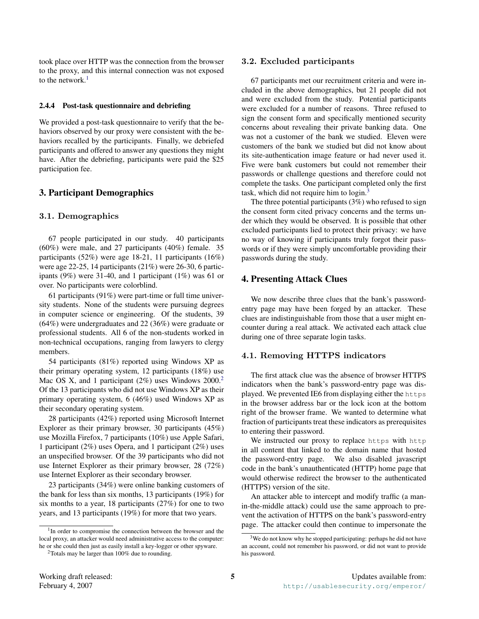took place over HTTP was the connection from the browser to the proxy, and this internal connection was not exposed to the network. $<sup>1</sup>$  $<sup>1</sup>$  $<sup>1</sup>$ </sup>

### 2.4.4 Post-task questionnaire and debriefing

We provided a post-task questionnaire to verify that the behaviors observed by our proxy were consistent with the behaviors recalled by the participants. Finally, we debriefed participants and offered to answer any questions they might have. After the debriefing, participants were paid the \$25 participation fee.

## <span id="page-4-0"></span>3. Participant Demographics

## 3.1. Demographics

67 people participated in our study. 40 participants (60%) were male, and 27 participants (40%) female. 35 participants (52%) were age 18-21, 11 participants (16%) were age 22-25, 14 participants (21%) were 26-30, 6 participants (9%) were 31-40, and 1 participant (1%) was 61 or over. No participants were colorblind.

61 participants (91%) were part-time or full time university students. None of the students were pursuing degrees in computer science or engineering. Of the students, 39 (64%) were undergraduates and 22 (36%) were graduate or professional students. All 6 of the non-students worked in non-technical occupations, ranging from lawyers to clergy members.

54 participants (81%) reported using Windows XP as their primary operating system, 12 participants (18%) use Mac OS X, and 1 participant  $(2%)$  $(2%)$  $(2%)$  uses Windows  $2000.<sup>2</sup>$ Of the 13 participants who did not use Windows XP as their primary operating system, 6 (46%) used Windows XP as their secondary operating system.

28 participants (42%) reported using Microsoft Internet Explorer as their primary browser, 30 participants (45%) use Mozilla Firefox, 7 participants (10%) use Apple Safari, 1 participant (2%) uses Opera, and 1 participant (2%) uses an unspecified browser. Of the 39 participants who did not use Internet Explorer as their primary browser, 28 (72%) use Internet Explorer as their secondary browser.

23 participants (34%) were online banking customers of the bank for less than six months, 13 participants (19%) for six months to a year, 18 participants (27%) for one to two years, and 13 participants (19%) for more that two years.

## 3.2. Excluded participants

67 participants met our recruitment criteria and were included in the above demographics, but 21 people did not and were excluded from the study. Potential participants were excluded for a number of reasons. Three refused to sign the consent form and specifically mentioned security concerns about revealing their private banking data. One was not a customer of the bank we studied. Eleven were customers of the bank we studied but did not know about its site-authentication image feature or had never used it. Five were bank customers but could not remember their passwords or challenge questions and therefore could not complete the tasks. One participant completed only the first task, which did not require him to login.[3](#page-4-4)

The three potential participants (3%) who refused to sign the consent form cited privacy concerns and the terms under which they would be observed. It is possible that other excluded participants lied to protect their privacy: we have no way of knowing if participants truly forgot their passwords or if they were simply uncomfortable providing their passwords during the study.

## <span id="page-4-1"></span>4. Presenting Attack Clues

We now describe three clues that the bank's passwordentry page may have been forged by an attacker. These clues are indistinguishable from those that a user might encounter during a real attack. We activated each attack clue during one of three separate login tasks.

## 4.1. Removing HTTPS indicators

The first attack clue was the absence of browser HTTPS indicators when the bank's password-entry page was displayed. We prevented IE6 from displaying either the https in the browser address bar or the lock icon at the bottom right of the browser frame. We wanted to determine what fraction of participants treat these indicators as prerequisites to entering their password.

We instructed our proxy to replace https with http in all content that linked to the domain name that hosted the password-entry page. We also disabled javascript code in the bank's unauthenticated (HTTP) home page that would otherwise redirect the browser to the authenticated (HTTPS) version of the site.

An attacker able to intercept and modify traffic (a manin-the-middle attack) could use the same approach to prevent the activation of HTTPS on the bank's password-entry page. The attacker could then continue to impersonate the

<span id="page-4-2"></span><sup>&</sup>lt;sup>1</sup>In order to compromise the connection between the browser and the local proxy, an attacker would need administrative access to the computer: he or she could then just as easily install a key-logger or other spyware.

<span id="page-4-3"></span> $2$ Totals may be larger than 100% due to rounding.

<span id="page-4-4"></span><sup>&</sup>lt;sup>3</sup>We do not know why he stopped participating: perhaps he did not have an account, could not remember his password, or did not want to provide his password.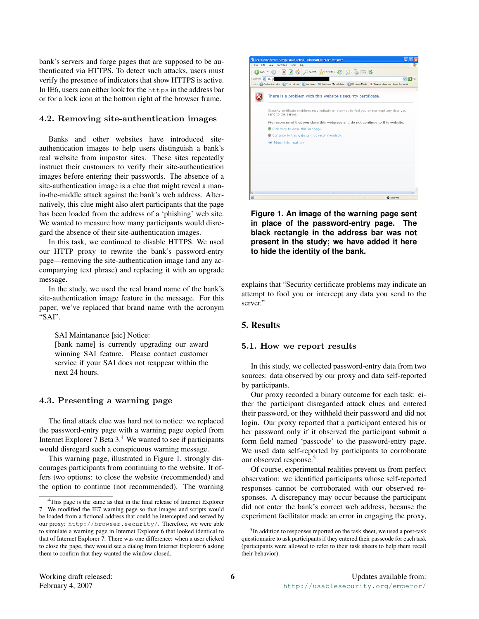bank's servers and forge pages that are supposed to be authenticated via HTTPS. To detect such attacks, users must verify the presence of indicators that show HTTPS is active. In IE6, users can either look for the https in the address bar or for a lock icon at the bottom right of the browser frame.

## 4.2. Removing site-authentication images

Banks and other websites have introduced siteauthentication images to help users distinguish a bank's real website from impostor sites. These sites repeatedly instruct their customers to verify their site-authentication images before entering their passwords. The absence of a site-authentication image is a clue that might reveal a manin-the-middle attack against the bank's web address. Alternatively, this clue might also alert participants that the page has been loaded from the address of a 'phishing' web site. We wanted to measure how many participants would disregard the absence of their site-authentication images.

In this task, we continued to disable HTTPS. We used our HTTP proxy to rewrite the bank's password-entry page—removing the site-authentication image (and any accompanying text phrase) and replacing it with an upgrade message.

In the study, we used the real brand name of the bank's site-authentication image feature in the message. For this paper, we've replaced that brand name with the acronym "SAI".

SAI Maintanance [sic] Notice:

[bank name] is currently upgrading our award winning SAI feature. Please contact customer service if your SAI does not reappear within the next 24 hours.

## 4.3. Presenting a warning page

The final attack clue was hard not to notice: we replaced the password-entry page with a warning page copied from Internet Explorer 7 Beta  $3<sup>4</sup>$  $3<sup>4</sup>$  $3<sup>4</sup>$  We wanted to see if participants would disregard such a conspicuous warning message.

This warning page, illustrated in Figure [1,](#page-5-2) strongly discourages participants from continuing to the website. It offers two options: to close the website (recommended) and the option to continue (not recommended). The warning



**Figure 1. An image of the warning page sent in place of the password-entry page. The black rectangle in the address bar was not present in the study; we have added it here to hide the identity of the bank.**

<span id="page-5-2"></span>explains that "Security certificate problems may indicate an attempt to fool you or intercept any data you send to the server."

## <span id="page-5-0"></span>5. Results

#### 5.1. How we report results

In this study, we collected password-entry data from two sources: data observed by our proxy and data self-reported by participants.

Our proxy recorded a binary outcome for each task: either the participant disregarded attack clues and entered their password, or they withheld their password and did not login. Our proxy reported that a participant entered his or her password only if it observed the participant submit a form field named 'passcode' to the password-entry page. We used data self-reported by participants to corroborate our observed response.<sup>[5](#page-5-3)</sup>

Of course, experimental realities prevent us from perfect observation: we identified participants whose self-reported responses cannot be corroborated with our observed responses. A discrepancy may occur because the participant did not enter the bank's correct web address, because the experiment facilitator made an error in engaging the proxy,

<span id="page-5-1"></span><sup>4</sup>This page is the same as that in the final release of Internet Explorer 7. We modified the IE7 warning page so that images and scripts would be loaded from a fictional address that could be intercepted and served by our proxy: http://browser.security/. Therefore, we were able to simulate a warning page in Internet Explorer 6 that looked identical to that of Internet Explorer 7. There was one difference: when a user clicked to close the page, they would see a dialog from Internet Explorer 6 asking them to confirm that they wanted the window closed.

<span id="page-5-3"></span><sup>&</sup>lt;sup>5</sup>In addition to responses reported on the task sheet, we used a post-task questionnaire to ask participants if they entered their passcode for each task (participants were allowed to refer to their task sheets to help them recall their behavior).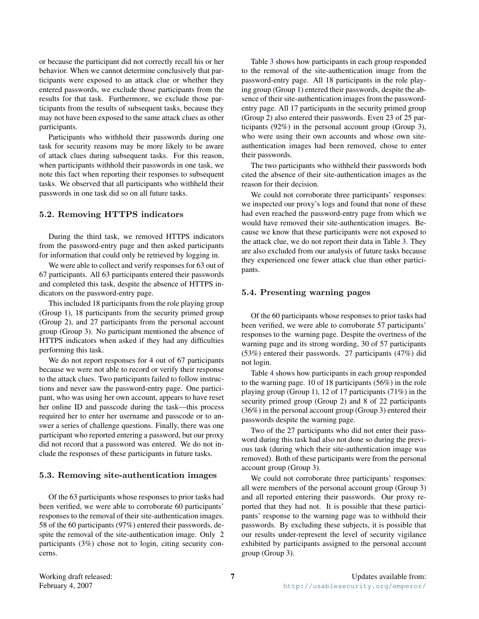or because the participant did not correctly recall his or her behavior. When we cannot determine conclusively that participants were exposed to an attack clue or whether they entered passwords, we exclude those participants from the results for that task. Furthermore, we exclude those participants from the results of subsequent tasks, because they may not have been exposed to the same attack clues as other participants.

Participants who withhold their passwords during one task for security reasons may be more likely to be aware of attack clues during subsequent tasks. For this reason, when participants withhold their passwords in one task, we note this fact when reporting their responses to subsequent tasks. We observed that all participants who withheld their passwords in one task did so on all future tasks.

## 5.2. Removing HTTPS indicators

During the third task, we removed HTTPS indicators from the password-entry page and then asked participants for information that could only be retrieved by logging in.

We were able to collect and verify responses for 63 out of 67 participants. All 63 participants entered their passwords and completed this task, despite the absence of HTTPS indicators on the password-entry page.

This included 18 participants from the role playing group (Group 1), 18 participants from the security primed group (Group 2), and 27 participants from the personal account group (Group 3). No participant mentioned the absence of HTTPS indicators when asked if they had any difficulties performing this task.

We do not report responses for 4 out of 67 participants because we were not able to record or verify their response to the attack clues. Two participants failed to follow instructions and never saw the password-entry page. One participant, who was using her own account, appears to have reset her online ID and passcode during the task—this process required her to enter her username and passcode or to answer a series of challenge questions. Finally, there was one participant who reported entering a password, but our proxy did not record that a password was entered. We do not include the responses of these participants in future tasks.

#### 5.3. Removing site-authentication images

Of the 63 participants whose responses to prior tasks had been verified, we were able to corroborate 60 participants' responses to the removal of their site-authentication images. 58 of the 60 participants (97%) entered their passwords, despite the removal of the site-authentication image. Only 2 participants (3%) chose not to login, citing security concerns.

Table [3](#page-7-0) shows how participants in each group responded to the removal of the site-authentication image from the password-entry page. All 18 participants in the role playing group (Group 1) entered their passwords, despite the absence of their site-authentication images from the passwordentry page. All 17 participants in the security primed group (Group 2) also entered their passwords. Even 23 of 25 participants (92%) in the personal account group (Group 3), who were using their own accounts and whose own siteauthentication images had been removed, chose to enter their passwords.

The two participants who withheld their passwords both cited the absence of their site-authentication images as the reason for their decision.

We could not corroborate three participants' responses: we inspected our proxy's logs and found that none of these had even reached the password-entry page from which we would have removed their site-authentication images. Because we know that these participants were not exposed to the attack clue, we do not report their data in Table [3.](#page-7-0) They are also excluded from our analysis of future tasks because they experienced one fewer attack clue than other participants.

#### 5.4. Presenting warning pages

Of the 60 participants whose responses to prior tasks had been verified, we were able to corroborate 57 participants' responses to the warning page. Despite the overtness of the warning page and its strong wording, 30 of 57 participants (53%) entered their passwords. 27 participants (47%) did not login.

Table [4](#page-7-1) shows how participants in each group responded to the warning page. 10 of 18 participants (56%) in the role playing group (Group 1), 12 of 17 participants (71%) in the security primed group (Group 2) and 8 of 22 participants (36%) in the personal account group (Group 3) entered their passwords despite the warning page.

Two of the 27 participants who did not enter their password during this task had also not done so during the previous task (during which their site-authentication image was removed). Both of these participants were from the personal account group (Group 3).

We could not corroborate three participants' responses: all were members of the personal account group (Group 3) and all reported entering their passwords. Our proxy reported that they had not. It is possible that these participants' response to the warning page was to withhold their passwords. By excluding these subjects, it is possible that our results under-represent the level of security vigilance exhibited by participants assigned to the personal account group (Group 3).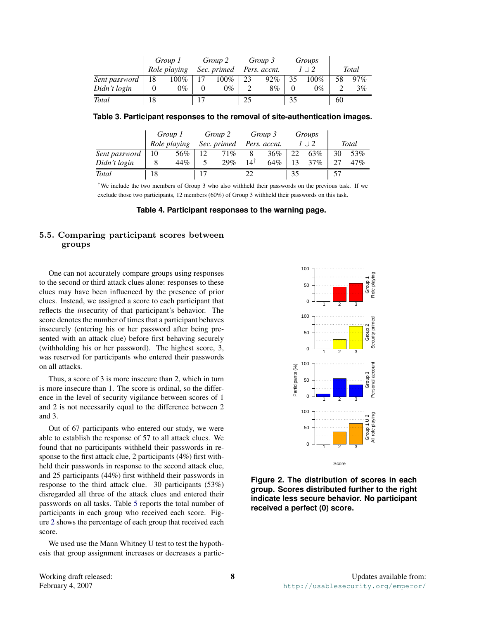|               | Group 1<br>Role playing |      | Group 2<br>Sec. primed |         | Group 3<br>Pers. accnt. |        | Groups<br>$1 \cup 2$ |         |              |     |
|---------------|-------------------------|------|------------------------|---------|-------------------------|--------|----------------------|---------|--------------|-----|
|               |                         |      |                        |         |                         |        |                      |         | <b>Total</b> |     |
| Sent password | 18                      | 100% |                        | $100\%$ | 23                      | $92\%$ | 35                   | $100\%$ | 58           | 97% |
| Didn't login  |                         | 0%   |                        | 0%      |                         | 8%     |                      | $0\%$   |              | 3%  |
| <b>Total</b>  |                         |      |                        |         |                         |        | 35                   |         | 60           |     |

<span id="page-7-0"></span>

| Table 3. Participant responses to the removal of site-authentication images. |  |  |  |
|------------------------------------------------------------------------------|--|--|--|
|------------------------------------------------------------------------------|--|--|--|

|               | Group 1 |              | Group 2<br>Group 3 |             | Groups       |        |    |            |     |              |
|---------------|---------|--------------|--------------------|-------------|--------------|--------|----|------------|-----|--------------|
|               |         | Role playing |                    | Sec. primed | Pers. accnt. |        |    | $1 \cup 2$ |     | <b>Total</b> |
| Sent password | 10      | 56%          |                    | $71\%$      | 8            | $36\%$ | 22 | 63%        | -30 | 53%          |
| Didn't login  |         | 44%          |                    | 29%         | 14†          | 64%    |    | 37%        |     | 47%          |
| <b>Total</b>  | 18      |              |                    |             | 22           |        | 35 |            | 57  |              |

†We include the two members of Group 3 who also withheld their passwords on the previous task. If we exclude those two participants, 12 members (60%) of Group 3 withheld their passwords on this task.

#### <span id="page-7-1"></span>**Table 4. Participant responses to the warning page.**

## 5.5. Comparing participant scores between groups

One can not accurately compare groups using responses to the second or third attack clues alone: responses to these clues may have been influenced by the presence of prior clues. Instead, we assigned a score to each participant that reflects the *in*security of that participant's behavior. The score denotes the number of times that a participant behaves insecurely (entering his or her password after being presented with an attack clue) before first behaving securely (withholding his or her password). The highest score, 3, was reserved for participants who entered their passwords on all attacks.

Thus, a score of 3 is more insecure than 2, which in turn is more insecure than 1. The score is ordinal, so the difference in the level of security vigilance between scores of 1 and 2 is not necessarily equal to the difference between 2 and 3.

Out of 67 participants who entered our study, we were able to establish the response of 57 to all attack clues. We found that no participants withheld their passwords in response to the first attack clue, 2 participants (4%) first withheld their passwords in response to the second attack clue, and 25 participants (44%) first withheld their passwords in response to the third attack clue. 30 participants (53%) disregarded all three of the attack clues and entered their passwords on all tasks. Table [5](#page-8-1) reports the total number of participants in each group who received each score. Figure [2](#page-7-2) shows the percentage of each group that received each score.

We used use the Mann Whitney U test to test the hypothesis that group assignment increases or decreases a partic-



<span id="page-7-2"></span>**Figure 2. The distribution of scores in each group. Scores distributed further to the right indicate less secure behavior. No participant received a perfect (0) score.**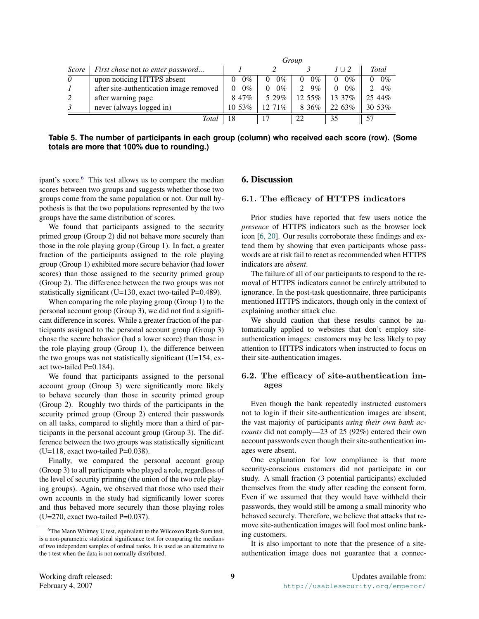| Score          | First chose not to enter password       |                   |           |                      | $1 \cup 2$ | <b>Total</b> |
|----------------|-----------------------------------------|-------------------|-----------|----------------------|------------|--------------|
| $\theta$       | upon noticing HTTPS absent              | $0\%$<br>$\Omega$ | $0\%$     | $0\%$<br>$\Omega$    | $0\%$<br>0 | $0\%$        |
| $\mathcal{I}$  | after site-authentication image removed | $0\%$             | $0\%$     | $9\%$<br>$2^{\circ}$ | $0\%$<br>0 | 2 $4\%$      |
| 2              | after warning page                      | 8.47%             | 5 29%     | 12 55%               | 13 37%     | 25 44%       |
| $\mathfrak{Z}$ | never (always logged in)                | $10,53\%$         | $12.71\%$ | 8 36%                | 22 63%     | 30 53%       |
|                | Tota                                    |                   |           | 22                   | 35         | 57           |

<span id="page-8-1"></span>**Table 5. The number of participants in each group (column) who received each score (row). (Some totals are more that 100% due to rounding.)**

ipant's score.<sup>[6](#page-8-2)</sup> This test allows us to compare the median scores between two groups and suggests whether those two groups come from the same population or not. Our null hypothesis is that the two populations represented by the two groups have the same distribution of scores.

We found that participants assigned to the security primed group (Group 2) did not behave more securely than those in the role playing group (Group 1). In fact, a greater fraction of the participants assigned to the role playing group (Group 1) exhibited more secure behavior (had lower scores) than those assigned to the security primed group (Group 2). The difference between the two groups was not statistically significant (U=130, exact two-tailed P=0.489).

When comparing the role playing group (Group 1) to the personal account group (Group 3), we did not find a significant difference in scores. While a greater fraction of the participants assigned to the personal account group (Group 3) chose the secure behavior (had a lower score) than those in the role playing group (Group 1), the difference between the two groups was not statistically significant (U=154, exact two-tailed P=0.184).

We found that participants assigned to the personal account group (Group 3) were significantly more likely to behave securely than those in security primed group (Group 2). Roughly two thirds of the participants in the security primed group (Group 2) entered their passwords on all tasks, compared to slightly more than a third of participants in the personal account group (Group 3). The difference between the two groups was statistically significant  $(U=118, exact two-tailed P=0.038).$ 

Finally, we compared the personal account group (Group 3) to all participants who played a role, regardless of the level of security priming (the union of the two role playing groups). Again, we observed that those who used their own accounts in the study had significantly lower scores and thus behaved more securely than those playing roles  $(U=270,$  exact two-tailed P=0.037).

#### <span id="page-8-0"></span>6. Discussion

#### 6.1. The efficacy of HTTPS indicators

Prior studies have reported that few users notice the *presence* of HTTPS indicators such as the browser lock icon [\[6,](#page-12-14) [20\]](#page-12-15). Our results corroborate these findings and extend them by showing that even participants whose passwords are at risk fail to react as recommended when HTTPS indicators are *absent*.

The failure of all of our participants to respond to the removal of HTTPS indicators cannot be entirely attributed to ignorance. In the post-task questionnaire, three participants mentioned HTTPS indicators, though only in the context of explaining another attack clue.

We should caution that these results cannot be automatically applied to websites that don't employ siteauthentication images: customers may be less likely to pay attention to HTTPS indicators when instructed to focus on their site-authentication images.

## 6.2. The efficacy of site-authentication images

Even though the bank repeatedly instructed customers not to login if their site-authentication images are absent, the vast majority of participants *using their own bank accounts* did not comply—23 of 25 (92%) entered their own account passwords even though their site-authentication images were absent.

One explanation for low compliance is that more security-conscious customers did not participate in our study. A small fraction (3 potential participants) excluded themselves from the study after reading the consent form. Even if we assumed that they would have withheld their passwords, they would still be among a small minority who behaved securely. Therefore, we believe that attacks that remove site-authentication images will fool most online banking customers.

It is also important to note that the presence of a siteauthentication image does not guarantee that a connec-

<span id="page-8-2"></span><sup>6</sup>The Mann Whitney U test, equivalent to the Wilcoxon Rank-Sum test, is a non-parametric statistical significance test for comparing the medians of two independent samples of ordinal ranks. It is used as an alternative to the t-test when the data is not normally distributed.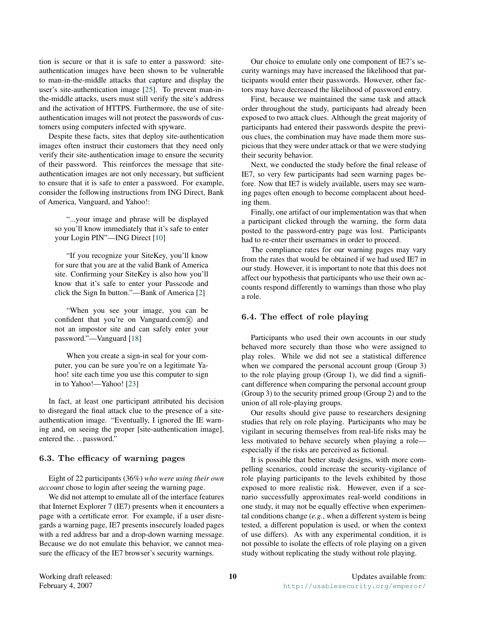tion is secure or that it is safe to enter a password: siteauthentication images have been shown to be vulnerable to man-in-the-middle attacks that capture and display the user's site-authentication image [\[25\]](#page-12-16). To prevent man-inthe-middle attacks, users must still verify the site's address and the activation of HTTPS. Furthermore, the use of siteauthentication images will not protect the passwords of customers using computers infected with spyware.

Despite these facts, sites that deploy site-authentication images often instruct their customers that they need only verify their site-authentication image to ensure the security of their password. This reinforces the message that siteauthentication images are not only necessary, but sufficient to ensure that it is safe to enter a password. For example, consider the following instructions from ING Direct, Bank of America, Vanguard, and Yahoo!:

"...your image and phrase will be displayed so you'll know immediately that it's safe to enter your Login PIN"—ING Direct [\[10\]](#page-12-5)

"If you recognize your SiteKey, you'll know for sure that you are at the valid Bank of America site. Confirming your SiteKey is also how you'll know that it's safe to enter your Passcode and click the Sign In button."—Bank of America [\[2\]](#page-12-17)

"When you see your image, you can be confident that you're on Vanguard.com $(\overline{R})$  and not an impostor site and can safely enter your password."—Vanguard [\[18\]](#page-12-7)

When you create a sign-in seal for your computer, you can be sure you're on a legitimate Yahoo! site each time you use this computer to sign in to Yahoo!—Yahoo! [\[23\]](#page-12-18)

In fact, at least one participant attributed his decision to disregard the final attack clue to the presence of a siteauthentication image. "Eventually, I ignored the IE warning and, on seeing the proper [site-authentication image], entered the. . . password."

#### 6.3. The efficacy of warning pages

Eight of 22 participants (36%) *who were using their own account* chose to login after seeing the warning page.

We did not attempt to emulate all of the interface features that Internet Explorer 7 (IE7) presents when it encounters a page with a certificate error. For example, if a user disregards a warning page, IE7 presents insecurely loaded pages with a red address bar and a drop-down warning message. Because we do not emulate this behavior, we cannot measure the efficacy of the IE7 browser's security warnings.

Our choice to emulate only one component of IE7's security warnings may have increased the likelihood that participants would enter their passwords. However, other factors may have decreased the likelihood of password entry.

First, because we maintained the same task and attack order throughout the study, participants had already been exposed to two attack clues. Although the great majority of participants had entered their passwords despite the previous clues, the combination may have made them more suspicious that they were under attack or that we were studying their security behavior.

Next, we conducted the study before the final release of IE7, so very few participants had seen warning pages before. Now that IE7 is widely available, users may see warning pages often enough to become complacent about heeding them.

Finally, one artifact of our implementation was that when a participant clicked through the warning, the form data posted to the password-entry page was lost. Participants had to re-enter their usernames in order to proceed.

The compliance rates for our warning pages may vary from the rates that would be obtained if we had used IE7 in our study. However, it is important to note that this does not affect our hypothesis that participants who use their own accounts respond differently to warnings than those who play a role.

#### 6.4. The effect of role playing

Participants who used their own accounts in our study behaved more securely than those who were assigned to play roles. While we did not see a statistical difference when we compared the personal account group (Group 3) to the role playing group (Group 1), we did find a significant difference when comparing the personal account group (Group 3) to the security primed group (Group 2) and to the union of all role-playing groups.

Our results should give pause to researchers designing studies that rely on role playing. Participants who may be vigilant in securing themselves from real-life risks may be less motivated to behave securely when playing a role especially if the risks are perceived as fictional.

It is possible that better study designs, with more compelling scenarios, could increase the security-vigilance of role playing participants to the levels exhibited by those exposed to more realistic risk. However, even if a scenario successfully approximates real-world conditions in one study, it may not be equally effective when experimental conditions change (*e.g.*, when a different system is being tested, a different population is used, or when the context of use differs). As with any experimental condition, it is not possible to isolate the effects of role playing on a given study without replicating the study without role playing.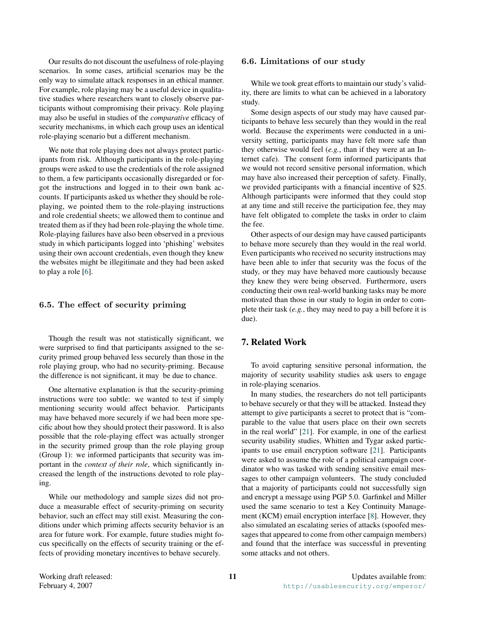Our results do not discount the usefulness of role-playing scenarios. In some cases, artificial scenarios may be the only way to simulate attack responses in an ethical manner. For example, role playing may be a useful device in qualitative studies where researchers want to closely observe participants without compromising their privacy. Role playing may also be useful in studies of the *comparative* efficacy of security mechanisms, in which each group uses an identical role-playing scenario but a different mechanism.

We note that role playing does not always protect participants from risk. Although participants in the role-playing groups were asked to use the credentials of the role assigned to them, a few participants occasionally disregarded or forgot the instructions and logged in to their own bank accounts. If participants asked us whether they should be roleplaying, we pointed them to the role-playing instructions and role credential sheets; we allowed them to continue and treated them as if they had been role-playing the whole time. Role-playing failures have also been observed in a previous study in which participants logged into 'phishing' websites using their own account credentials, even though they knew the websites might be illegitimate and they had been asked to play a role [\[6\]](#page-12-14).

## 6.5. The effect of security priming

Though the result was not statistically significant, we were surprised to find that participants assigned to the security primed group behaved less securely than those in the role playing group, who had no security-priming. Because the difference is not significant, it may be due to chance.

One alternative explanation is that the security-priming instructions were too subtle: we wanted to test if simply mentioning security would affect behavior. Participants may have behaved more securely if we had been more specific about how they should protect their password. It is also possible that the role-playing effect was actually stronger in the security primed group than the role playing group (Group 1): we informed participants that security was important in the *context of their role*, which significantly increased the length of the instructions devoted to role playing.

While our methodology and sample sizes did not produce a measurable effect of security-priming on security behavior, such an effect may still exist. Measuring the conditions under which priming affects security behavior is an area for future work. For example, future studies might focus specifically on the effects of security training or the effects of providing monetary incentives to behave securely.

#### 6.6. Limitations of our study

While we took great efforts to maintain our study's validity, there are limits to what can be achieved in a laboratory study.

Some design aspects of our study may have caused participants to behave less securely than they would in the real world. Because the experiments were conducted in a university setting, participants may have felt more safe than they otherwise would feel (*e.g.*, than if they were at an Internet cafe). The consent form informed participants that we would not record sensitive personal information, which may have also increased their perception of safety. Finally, we provided participants with a financial incentive of \$25. Although participants were informed that they could stop at any time and still receive the participation fee, they may have felt obligated to complete the tasks in order to claim the fee.

Other aspects of our design may have caused participants to behave more securely than they would in the real world. Even participants who received no security instructions may have been able to infer that security was the focus of the study, or they may have behaved more cautiously because they knew they were being observed. Furthermore, users conducting their own real-world banking tasks may be more motivated than those in our study to login in order to complete their task (*e.g.*, they may need to pay a bill before it is due).

## <span id="page-10-0"></span>7. Related Work

To avoid capturing sensitive personal information, the majority of security usability studies ask users to engage in role-playing scenarios.

In many studies, the researchers do not tell participants to behave securely or that they will be attacked. Instead they attempt to give participants a secret to protect that is "comparable to the value that users place on their own secrets in the real world" [\[21\]](#page-12-19). For example, in one of the earliest security usability studies, Whitten and Tygar asked participants to use email encryption software [\[21\]](#page-12-19). Participants were asked to assume the role of a political campaign coordinator who was tasked with sending sensitive email messages to other campaign volunteers. The study concluded that a majority of participants could not successfully sign and encrypt a message using PGP 5.0. Garfinkel and Miller used the same scenario to test a Key Continuity Management (KCM) email encryption interface [\[8\]](#page-12-20). However, they also simulated an escalating series of attacks (spoofed messages that appeared to come from other campaign members) and found that the interface was successful in preventing some attacks and not others.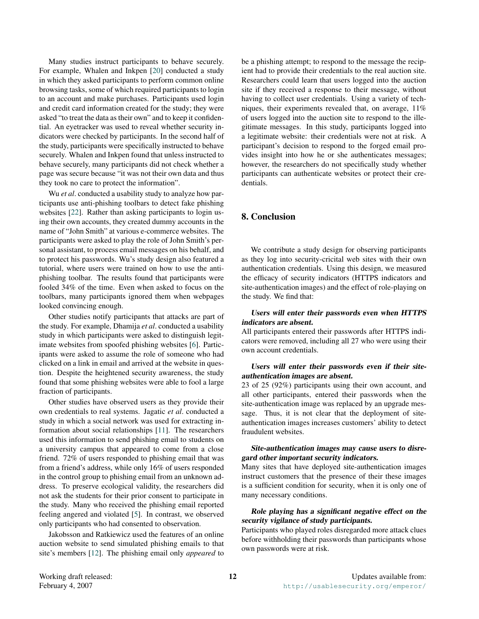Many studies instruct participants to behave securely. For example, Whalen and Inkpen [\[20\]](#page-12-15) conducted a study in which they asked participants to perform common online browsing tasks, some of which required participants to login to an account and make purchases. Participants used login and credit card information created for the study; they were asked "to treat the data as their own" and to keep it confidential. An eyetracker was used to reveal whether security indicators were checked by participants. In the second half of the study, participants were specifically instructed to behave securely. Whalen and Inkpen found that unless instructed to behave securely, many participants did not check whether a page was secure because "it was not their own data and thus they took no care to protect the information".

Wu *et al*. conducted a usability study to analyze how participants use anti-phishing toolbars to detect fake phishing websites [\[22\]](#page-12-21). Rather than asking participants to login using their own accounts, they created dummy accounts in the name of "John Smith" at various e-commerce websites. The participants were asked to play the role of John Smith's personal assistant, to process email messages on his behalf, and to protect his passwords. Wu's study design also featured a tutorial, where users were trained on how to use the antiphishing toolbar. The results found that participants were fooled 34% of the time. Even when asked to focus on the toolbars, many participants ignored them when webpages looked convincing enough.

Other studies notify participants that attacks are part of the study. For example, Dhamija *et al*. conducted a usability study in which participants were asked to distinguish legitimate websites from spoofed phishing websites [\[6\]](#page-12-14). Participants were asked to assume the role of someone who had clicked on a link in email and arrived at the website in question. Despite the heightened security awareness, the study found that some phishing websites were able to fool a large fraction of participants.

Other studies have observed users as they provide their own credentials to real systems. Jagatic *et al*. conducted a study in which a social network was used for extracting information about social relationships [\[11\]](#page-12-22). The researchers used this information to send phishing email to students on a university campus that appeared to come from a close friend. 72% of users responded to phishing email that was from a friend's address, while only 16% of users responded in the control group to phishing email from an unknown address. To preserve ecological validity, the researchers did not ask the students for their prior consent to participate in the study. Many who received the phishing email reported feeling angered and violated [\[5\]](#page-12-23). In contrast, we observed only participants who had consented to observation.

Jakobsson and Ratkiewicz used the features of an online auction website to send simulated phishing emails to that site's members [\[12\]](#page-12-24). The phishing email only *appeared* to be a phishing attempt; to respond to the message the recipient had to provide their credentials to the real auction site. Researchers could learn that users logged into the auction site if they received a response to their message, without having to collect user credentials. Using a variety of techniques, their experiments revealed that, on average, 11% of users logged into the auction site to respond to the illegitimate messages. In this study, participants logged into a legitimate website: their credentials were not at risk. A participant's decision to respond to the forged email provides insight into how he or she authenticates messages; however, the researchers do not specifically study whether participants can authenticate websites or protect their credentials.

## <span id="page-11-0"></span>8. Conclusion

We contribute a study design for observing participants as they log into security-cricital web sites with their own authentication credentials. Using this design, we measured the efficacy of security indicators (HTTPS indicators and site-authentication images) and the effect of role-playing on the study. We find that:

### Users will enter their passwords even when HTTPS indicators are absent.

All participants entered their passwords after HTTPS indicators were removed, including all 27 who were using their own account credentials.

### Users will enter their passwords even if their siteauthentication images are absent.

23 of 25 (92%) participants using their own account, and all other participants, entered their passwords when the site-authentication image was replaced by an upgrade message. Thus, it is not clear that the deployment of siteauthentication images increases customers' ability to detect fraudulent websites.

#### Site-authentication images may cause users to disregard other important security indicators.

Many sites that have deployed site-authentication images instruct customers that the presence of their these images is a sufficient condition for security, when it is only one of many necessary conditions.

### Role playing has a significant negative effect on the security vigilance of study participants.

Participants who played roles disregarded more attack clues before withholding their passwords than participants whose own passwords were at risk.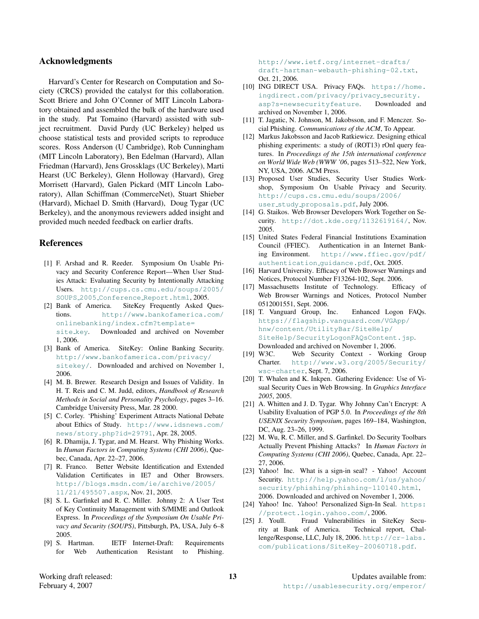### Acknowledgments

Harvard's Center for Research on Computation and Society (CRCS) provided the catalyst for this collaboration. Scott Briere and John O'Conner of MIT Lincoln Laboratory obtained and assembled the bulk of the hardware used in the study. Pat Tomaino (Harvard) assisted with subject recruitment. David Purdy (UC Berkeley) helped us choose statistical tests and provided scripts to reproduce scores. Ross Anderson (U Cambridge), Rob Cunningham (MIT Lincoln Laboratory), Ben Edelman (Harvard), Allan Friedman (Harvard), Jens Grossklags (UC Berkeley), Marti Hearst (UC Berkeley), Glenn Holloway (Harvard), Greg Morrisett (Harvard), Galen Pickard (MIT Lincoln Laboratory), Allan Schiffman (CommerceNet), Stuart Shieber (Harvard), Michael D. Smith (Harvard), Doug Tygar (UC Berkeley), and the anonymous reviewers added insight and provided much needed feedback on earlier drafts.

### References

- <span id="page-12-10"></span>[1] F. Arshad and R. Reeder. Symposium On Usable Privacy and Security Conference Report—When User Studies Attack: Evaluating Security by Intentionally Attacking Users. [http://cups.cs.cmu.edu/soups/2005/](http://cups.cs.cmu.edu/soups/2005/SOUPS_2005_Conference_Report.html) SOUPS 2005 Conference [Report.html](http://cups.cs.cmu.edu/soups/2005/SOUPS_2005_Conference_Report.html), 2005.
- <span id="page-12-17"></span>[2] Bank of America. SiteKey Frequently Asked Questions. [http://www.bankofamerica.com/](http://www.bankofamerica.com/onlinebanking/index.cfm?template=site_key) [onlinebanking/index.cfm?template=](http://www.bankofamerica.com/onlinebanking/index.cfm?template=site_key) [site](http://www.bankofamerica.com/onlinebanking/index.cfm?template=site_key) key. Downloaded and archived on November 1, 2006.
- <span id="page-12-6"></span>[3] Bank of America. SiteKey: Online Banking Security. [http://www.bankofamerica.com/privacy/](http://www.bankofamerica.com/privacy/sitekey/) [sitekey/](http://www.bankofamerica.com/privacy/sitekey/). Downloaded and archived on November 1, 2006.
- <span id="page-12-9"></span>[4] M. B. Brewer. Research Design and Issues of Validity. In H. T. Reis and C. M. Judd, editors, *Handbook of Research Methods in Social and Personality Psychology*, pages 3–16. Cambridge University Press, Mar. 28 2000.
- <span id="page-12-23"></span>[5] C. Corley. 'Phishing' Experiment Attracts National Debate about Ethics of Study. [http://www.idsnews.com/](http://www.idsnews.com/news/story.php?id=29791) [news/story.php?id=29791](http://www.idsnews.com/news/story.php?id=29791), Apr. 28, 2005.
- <span id="page-12-14"></span>[6] R. Dhamija, J. Tygar, and M. Hearst. Why Phishing Works. In *Human Factors in Computing Systems (CHI 2006)*, Quebec, Canada, Apr. 22–27, 2006.
- <span id="page-12-0"></span>[7] R. Franco. Better Website Identification and Extended Validation Certificates in IE7 and Other Browsers. [http://blogs.msdn.com/ie/archive/2005/](http://blogs.msdn.com/ie/archive/2005/11/21/495507.aspx) [11/21/495507.aspx](http://blogs.msdn.com/ie/archive/2005/11/21/495507.aspx), Nov. 21, 2005.
- <span id="page-12-20"></span>[8] S. L. Garfinkel and R. C. Miller. Johnny 2: A User Test of Key Continuity Management with S/MIME and Outlook Express. In *Proceedings of the Symposium On Usable Privacy and Security (SOUPS)*, Pittsburgh, PA, USA, July 6–8 2005.
- <span id="page-12-1"></span>[9] S. Hartman. IETF Internet-Draft: Requirements for Web Authentication Resistant to Phishing.

[http://www.ietf.org/internet-drafts/](http://www.ietf.org/internet-drafts/draft-hartman-webauth-phishing-02.txt) [draft-hartman-webauth-phishing-02.txt](http://www.ietf.org/internet-drafts/draft-hartman-webauth-phishing-02.txt), Oct. 21, 2006.

- <span id="page-12-5"></span>[10] ING DIRECT USA. Privacy FAQs. [https://home.](https://home.ingdirect.com/privacy/privacy_security.asp?s=newsecurityfeature) [ingdirect.com/privacy/privacy](https://home.ingdirect.com/privacy/privacy_security.asp?s=newsecurityfeature) security. [asp?s=newsecurityfeature](https://home.ingdirect.com/privacy/privacy_security.asp?s=newsecurityfeature). Downloaded and archived on November 1, 2006.
- <span id="page-12-22"></span>[11] T. Jagatic, N. Johnson, M. Jakobsson, and F. Menczer. Social Phishing. *Communications of the ACM*, To Appear.
- <span id="page-12-24"></span>[12] Markus Jakobsson and Jacob Ratkiewicz. Designing ethical phishing experiments: a study of (ROT13) rOnl query features. In *Proceedings of the 15th international conference on World Wide Web (WWW '06*, pages 513–522, New York, NY, USA, 2006. ACM Press.
- <span id="page-12-11"></span>[13] Proposed User Studies, Security User Studies Workshop, Symposium On Usable Privacy and Security. [http://cups.cs.cmu.edu/soups/2006/](http://cups.cs.cmu.edu/soups/2006/user_study_proposals.pdf) user study [proposals.pdf](http://cups.cs.cmu.edu/soups/2006/user_study_proposals.pdf), July 2006.
- <span id="page-12-2"></span>[14] G. Staikos. Web Browser Developers Work Together on Security. <http://dot.kde.org/1132619164/>, Nov. 2005.
- <span id="page-12-4"></span>[15] United States Federal Financial Institutions Examination Council (FFIEC). Authentication in an Internet Banking Environment. [http://www.ffiec.gov/pdf/](http://www.ffiec.gov/pdf/authentication_guidance.pdf) [authentication](http://www.ffiec.gov/pdf/authentication_guidance.pdf)\_guidance.pdf, Oct. 2005.
- <span id="page-12-12"></span>[16] Harvard University. Efficacy of Web Browser Warnings and Notices, Protocol Number F13264-102, Sept. 2006.<br>Massachusetts Institute of Technology. Efficacy of
- <span id="page-12-13"></span>[17] Massachusetts Institute of Technology. Web Browser Warnings and Notices, Protocol Number 0512001551, Sept. 2006.
- <span id="page-12-7"></span>[18] T. Vanguard Group, Inc. Enhanced Logon FAQs. [https://flagship.vanguard.com/VGApp/](https://flagship.vanguard.com/VGApp/hnw/content/UtilityBar/SiteHelp/SiteHelp/SecurityLogonFAQsContent.jsp) [hnw/content/UtilityBar/SiteHelp/](https://flagship.vanguard.com/VGApp/hnw/content/UtilityBar/SiteHelp/SiteHelp/SecurityLogonFAQsContent.jsp) [SiteHelp/SecurityLogonFAQsContent.jsp](https://flagship.vanguard.com/VGApp/hnw/content/UtilityBar/SiteHelp/SiteHelp/SecurityLogonFAQsContent.jsp). Downloaded and archived on November 1, 2006.
- <span id="page-12-3"></span>[19] W3C. Web Security Context - Working Group Charter. [http://www.w3.org/2005/Security/](http://www.w3.org/2005/Security/wsc-charter) [wsc-charter](http://www.w3.org/2005/Security/wsc-charter), Sept. 7, 2006.
- <span id="page-12-15"></span>[20] T. Whalen and K. Inkpen. Gathering Evidence: Use of Visual Security Cues in Web Browsing. In *Graphics Interface 2005*, 2005.
- <span id="page-12-19"></span>[21] A. Whitten and J. D. Tygar. Why Johnny Can't Encrypt: A Usability Evaluation of PGP 5.0. In *Proceedings of the 8th USENIX Security Symposium*, pages 169–184, Washington, DC, Aug. 23–26, 1999.
- <span id="page-12-21"></span>[22] M. Wu, R. C. Miller, and S. Garfinkel. Do Security Toolbars Actually Prevent Phishing Attacks? In *Human Factors in Computing Systems (CHI 2006)*, Quebec, Canada, Apr. 22– 27, 2006.
- <span id="page-12-18"></span>[23] Yahoo! Inc. What is a sign-in seal? - Yahoo! Account Security. [http://help.yahoo.com/l/us/yahoo/](http://help.yahoo.com/l/us/yahoo/security/phishing/phishing-110140.html) [security/phishing/phishing-110140.html](http://help.yahoo.com/l/us/yahoo/security/phishing/phishing-110140.html), 2006. Downloaded and archived on November 1, 2006.
- <span id="page-12-8"></span>[24] Yahoo! Inc. Yahoo! Personalized Sign-In Seal. [https:](https://protect.login.yahoo.com/) [//protect.login.yahoo.com/](https://protect.login.yahoo.com/), 2006.
- <span id="page-12-16"></span>Fraud Vulnerabilities in SiteKey Security at Bank of America. Technical report, Challenge/Response, LLC, July 18, 2006. [http://cr-labs.](http://cr-labs.com/publications/SiteKey-20060718.pdf) [com/publications/SiteKey-20060718.pdf](http://cr-labs.com/publications/SiteKey-20060718.pdf).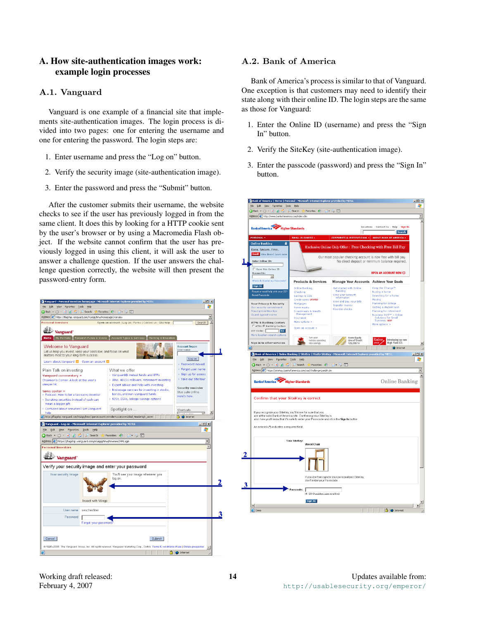## <span id="page-13-0"></span>A. How site-authentication images work: example login processes

## A.1. Vanguard

Vanguard is one example of a financial site that implements site-authentication images. The login process is divided into two pages: one for entering the username and one for entering the password. The login steps are:

- 1. Enter username and press the "Log on" button.
- 2. Verify the security image (site-authentication image).
- 3. Enter the password and press the "Submit" button.

After the customer submits their username, the website checks to see if the user has previously logged in from the same client. It does this by looking for a HTTP cookie sent by the user's browser or by using a Macromedia Flash object. If the website cannot confirm that the user has previously logged in using this client, it will ask the user to answer a challenge question. If the user answers the challenge question correctly, the website will then present the password-entry form.



## A.2. Bank of America

Bank of America's process is similar to that of Vanguard. One exception is that customers may need to identify their state along with their online ID. The login steps are the same as those for Vanguard:

- 1. Enter the Online ID (username) and press the "Sign In" button.
- 2. Verify the SiteKey (site-authentication image).
- 3. Enter the passcode (password) and press the "Sign In" button.



Working draft released: February 4, 2007